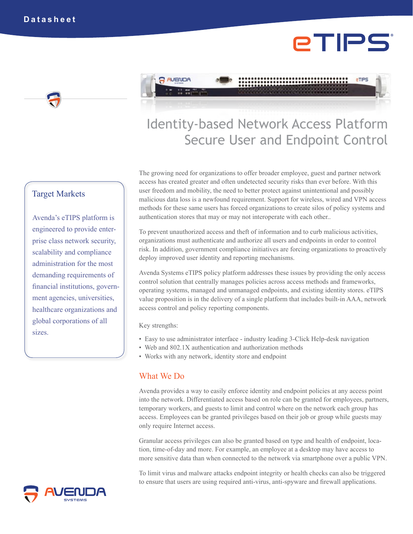# eTIPS





# Identity-based Network Access Platform Secure User and Endpoint Control

The growing need for organizations to offer broader employee, guest and partner network access has created greater and often undetected security risks than ever before. With this user freedom and mobility, the need to better protect against unintentional and possibly malicious data loss is a newfound requirement. Support for wireless, wired and VPN access methods for these same users has forced organizations to create silos of policy systems and authentication stores that may or may not interoperate with each other..

To prevent unauthorized access and theft of information and to curb malicious activities, organizations must authenticate and authorize all users and endpoints in order to control risk. In addition, government compliance initiatives are forcing organizations to proactively deploy improved user identity and reporting mechanisms.

Avenda Systems eTIPS policy platform addresses these issues by providing the only access control solution that centrally manages policies across access methods and frameworks, operating systems, managed and unmanaged endpoints, and existing identity stores. eTIPS value proposition is in the delivery of a single platform that includes built-in AAA, network access control and policy reporting components.

Key strengths:

- Easy to use administrator interface industry leading 3-Click Help-desk navigation
- Web and 802.1X authentication and authorization methods
- Works with any network, identity store and endpoint

# What We Do

Avenda provides a way to easily enforce identity and endpoint policies at any access point into the network. Differentiated access based on role can be granted for employees, partners, temporary workers, and guests to limit and control where on the network each group has access. Employees can be granted privileges based on their job or group while guests may only require Internet access.

Granular access privileges can also be granted based on type and health of endpoint, location, time-of-day and more. For example, an employee at a desktop may have access to more sensitive data than when connected to the network via smartphone over a public VPN.

To limit virus and malware attacks endpoint integrity or health checks can also be triggered to ensure that users are using required anti-virus, anti-spyware and firewall applications.

# Target Markets

Avenda's eTIPS platform is engineered to provide enterprise class network security, scalability and compliance administration for the most demanding requirements of financial institutions, government agencies, universities, healthcare organizations and global corporations of all sizes.

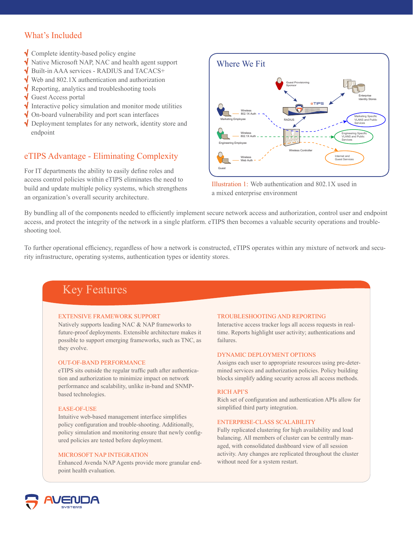# What's Included

- Complete identity-based policy engine
- $\sqrt{\phantom{a}}$  Native Microsoft NAP, NAC and health agent support
- Built-in AAA services RADIUS and TACACS+
- Web and 802.1X authentication and authorization
- Reporting, analytics and troubleshooting tools
- Guest Access portal
- Interactive policy simulation and monitor mode utilities √
- On-board vulnerability and port scan interfaces
- √ Deployment templates for any network, identity store and endpoint

### eTIPS Advantage - Eliminating Complexity

For IT departments the ability to easily define roles and access control policies within eTIPS eliminates the need to build and update multiple policy systems, which strengthens an organization's overall security architecture.



Illustration 1: Web authentication and 802.1X used in a mixed enterprise environment

By bundling all of the components needed to efficiently implement secure network access and authorization, control user and endpoint access, and protect the integrity of the network in a single platform. eTIPS then becomes a valuable security operations and troubleshooting tool.

To further operational efficiency, regardless of how a network is constructed, eTIPS operates within any mixture of network and security infrastructure, operating systems, authentication types or identity stores.

# Key Features

#### Extensive framework support

Natively supports leading NAC & NAP frameworks to future-proof deployments. Extensible architecture makes it possible to support emerging frameworks, such as TNC, as they evolve.

#### Out-of-band Performance

eTIPS sits outside the regular traffic path after authentication and authorization to minimize impact on network performance and scalability, unlike in-band and SNMPbased technologies.

#### EASE-OF-USE

Intuitive web-based management interface simplifies policy configuration and trouble-shooting. Additionally, policy simulation and monitoring ensure that newly configured policies are tested before deployment.

#### Microsoft NAP Integration

Enhanced Avenda NAP Agents provide more granular endpoint health evaluation.

#### Troubleshooting and reporting

Interactive access tracker logs all access requests in realtime. Reports highlight user activity; authentications and failures.

#### Dynamic deployment options

Assigns each user to appropriate resources using pre-determined services and authorization policies. Policy building blocks simplify adding security across all access methods.

#### Rich API'S

Rich set of configuration and authentication APIs allow for simplified third party integration.

#### Enterprise-class scalability

Fully replicated clustering for high availability and load balancing. All members of cluster can be centrally managed, with consolidated dashboard view of all session activity. Any changes are replicated throughout the cluster without need for a system restart.

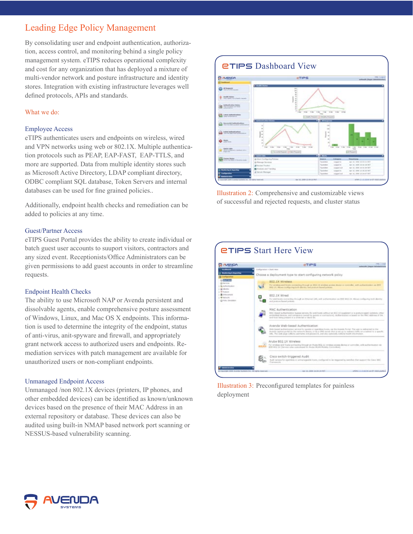# Leading Edge Policy Management

By consolidating user and endpoint authentication, authorization, access control, and monitoring behind a single policy management system. eTIPS reduces operational complexity and cost for any organization that has deployed a mixture of multi-vendor network and posture infrastructure and identity stores. Integration with existing infrastructure leverages well defined protocols, APIs and standards.

#### What we do:

#### Employee Access

eTIPS authenticates users and endpoints on wireless, wired and VPN networks using web or 802.1X. Multiple authentication protocols such as PEAP, EAP-FAST, EAP-TTLS, and more are supported. Data from multiple identity stores such as Microsoft Active Directory, LDAP compliant directory, ODBC compliant SQL database, Token Servers and internal databases can be used for fine grained policies..

Additionally, endpoint health checks and remediation can be added to policies at any time.

#### Guest/Partner Access

eTIPS Guest Portal provides the ability to create individual or batch guest user accounts to suuport visitors, contractors and any sized event. Receptionists/Office Administrators can be given permissions to add guest accounts in order to streamline requests.

#### Endpoint Health Checks

The ability to use Microsoft NAP or Avenda persistent and dissolvable agents, enable comprehensive posture assessment of Windows, Linux, and Mac OS X endpoints. This information is used to determine the integrity of the endpoint, status of anti-virus, anit-spyware and firewall, and appropriately grant network access to authorized users and endpoints. Remediation services with patch management are available for unauthorized users or non-compliant endpoints.

#### Unmanaged Endpoint Access

Unmanaged /non 802.1X devices (printers, IP phones, and other embedded devices) can be identified as known/unknown devices based on the presence of their MAC Address in an external repository or database. These devices can also be audited using built-in NMAP based network port scanning or NESSUS-based vulnerability scanning.



Illustration 2: Comprehensive and customizable views of successful and rejected requests, and cluster status

| <b>INGIVOR</b>             |                            |                                                                                    | <b>ATIPS</b>                                                                                               | 1409 E.S. (Up)<br>automatik ('mason dal nabalata ad-                                                                                                                                                                                            |
|----------------------------|----------------------------|------------------------------------------------------------------------------------|------------------------------------------------------------------------------------------------------------|-------------------------------------------------------------------------------------------------------------------------------------------------------------------------------------------------------------------------------------------------|
| <b>Ing &amp; Manufield</b> | Configuration v Stort time |                                                                                    | Choose a deployment type to start configuring network policy                                               |                                                                                                                                                                                                                                                 |
|                            |                            | 802.LX Windess                                                                     |                                                                                                            |                                                                                                                                                                                                                                                 |
|                            |                            |                                                                                    | BSZ 13, Alcon confusing both aborts and protect based policies.                                            | For access and house connecting through an BSI 11 seventee access desire an connective art authoritieshed us 201                                                                                                                                |
|                            |                            | 802.1X Wired<br>and avoitors based policies.                                       |                                                                                                            | For and hooks contacting through an Etherical LED, with authentication ou WEE ROZ 241 Aloual Londayottal both abortly                                                                                                                           |
|                            |                            | <b>MAC Authentication</b><br>and forei being present is a siline let or block let. |                                                                                                            | MAC throad authoritistics buyons servere, for end-hosts without an 600.13 augstrant or a posture agent (printere, other<br>writechbel devices, and computers cwood by skints of contractors). Authoritistics is based on the MAC-address of the |
|                            |                            | Avenda Web-based Authentication                                                    | 1891. The well: John collects visitmanni and Jossinocco, and shis systempts collects beatifickeled and any | Mid-Sexed authorization serving for questo at agetting from, via Mx Annebs Portal. The user is indirected by the<br>Avenue captus portal by the instancts Aevera, or he a DMS agree. But is set up to selleer traffic on a salest to a specific |
|                            |                            | Aruba 802.1X Wireless                                                              | WPF WILL \$17 [Service value customents for Aruba MCAS Mosking Corenwillers].                              | For wridogs and Frasta corresponsibilizate an Andre 803, 21 weekels access device or pontroller, with authentication rea                                                                                                                        |
|                            |                            | Cisco switch-triggered Audit<br>Foreigns ink.                                      |                                                                                                            | Audit larvies for agentinal or unmunepeaks meets, configurat to be trapposed by own has then support the Coun NAC                                                                                                                               |

Illustration 3: Preconfigured templates for painless deployment